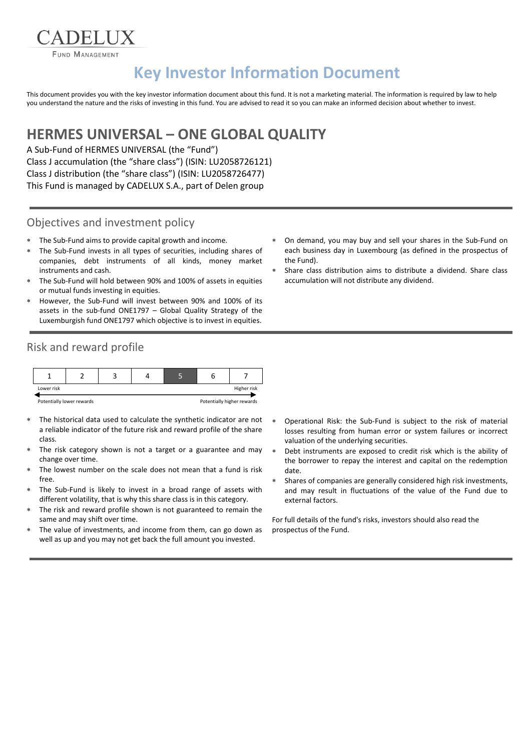**FUND MANAGEMENT** 

**ADELIIX** 

# **Key Investor Information Document**

This document provides you with the key investor information document about this fund. It is not a marketing material. The information is required by law to help you understand the nature and the risks of investing in this fund. You are advised to read it so you can make an informed decision about whether to invest.

## **HERMES UNIVERSAL – ONE GLOBAL QUALITY**

A Sub-Fund of HERMES UNIVERSAL (the "Fund") Class J accumulation (the "share class") (ISIN: LU2058726121) Class J distribution (the "share class") (ISIN: LU2058726477) This Fund is managed by CADELUX S.A., part of Delen group

#### Objectives and investment policy

- The Sub-Fund aims to provide capital growth and income.
- The Sub-Fund invests in all types of securities, including shares of companies, debt instruments of all kinds, money market instruments and cash.
- The Sub-Fund will hold between 90% and 100% of assets in equities or mutual funds investing in equities.
- However, the Sub-Fund will invest between 90% and 100% of its assets in the sub-fund ONE1797 – Global Quality Strategy of the Luxemburgish fund ONE1797 which objective is to invest in equities.
- Risk and reward profile



- The historical data used to calculate the synthetic indicator are not a reliable indicator of the future risk and reward profile of the share class.
- The risk category shown is not a target or a guarantee and may change over time.
- The lowest number on the scale does not mean that a fund is risk free.
- The Sub-Fund is likely to invest in a broad range of assets with different volatility, that is why this share class is in this category.
- The risk and reward profile shown is not guaranteed to remain the same and may shift over time.
- The value of investments, and income from them, can go down as well as up and you may not get back the full amount you invested.
- On demand, you may buy and sell your shares in the Sub-Fund on each business day in Luxembourg (as defined in the prospectus of the Fund).
- Share class distribution aims to distribute a dividend. Share class accumulation will not distribute any dividend.

- Operational Risk: the Sub-Fund is subject to the risk of material losses resulting from human error or system failures or incorrect valuation of the underlying securities.
- Debt instruments are exposed to credit risk which is the ability of the borrower to repay the interest and capital on the redemption date.
- Shares of companies are generally considered high risk investments, and may result in fluctuations of the value of the Fund due to external factors.

For full details of the fund's risks, investors should also read the prospectus of the Fund.